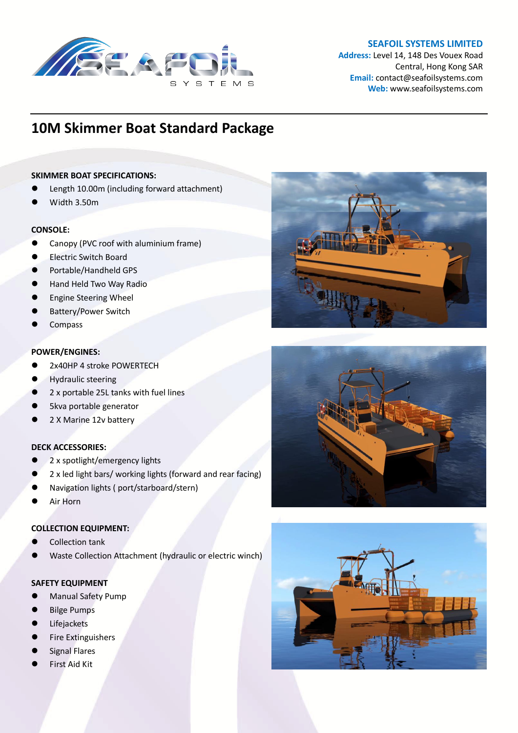

## **SEAFOIL SYSTEMS LIMITED**

**Address:** Level 14, 148 Des Vouex Road Central, Hong Kong SAR **Email:** contact@seafoilsystems.com **Web:** www.seafoilsystems.com

# **10M Skimmer Boat Standard Package**

## **SKIMMER BOAT SPECIFICATIONS:**

- Length 10.00m (including forward attachment)
- Width 3.50m

## **CONSOLE:**

- Canopy (PVC roof with aluminium frame)
- Electric Switch Board
- Portable/Handheld GPS
- Hand Held Two Way Radio
- Engine Steering Wheel
- Battery/Power Switch
- **Compass**

## **POWER/ENGINES:**

- 2x40HP 4 stroke POWERTECH
- Hydraulic steering
- 2 x portable 25L tanks with fuel lines
- 5kva portable generator
- 2 X Marine 12v battery

#### **DECK ACCESSORIES:**

- 2 x spotlight/emergency lights
- 2 x led light bars/ working lights (forward and rear facing)
- Navigation lights ( port/starboard/stern)
- Air Horn

## **COLLECTION EQUIPMENT:**

- Collection tank
- Waste Collection Attachment (hydraulic or electric winch)

# **SAFETY EQUIPMENT**

- Manual Safety Pump
- Bilge Pumps
- Lifejackets
- Fire Extinguishers
- Signal Flares
- First Aid Kit